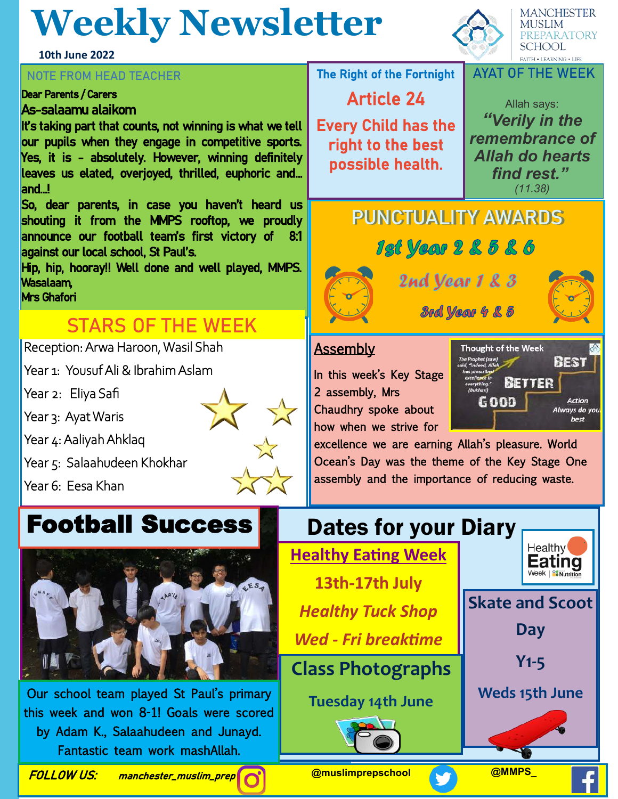# **Weekly Newsletter**

**10th June 2022**

#### **NOTE FROM HEAD TEACHER**

#### Dear Parents / Carers

#### As-salaamu alaikom

It's taking part that counts, not winning is what we tell our pupils when they engage in competitive sports. Yes, it is - absolutely. However, winning definitely leaves us elated, overjoyed, thrilled, euphoric and… and…!

So, dear parents, in case you haven't heard us shouting it from the MMPS rooftop, we proudly announce our football team's first victory of 8:1 against our local school, St Paul's.

Hip, hip, hooray!! Well done and well played, MMPS. Wasalaam, Mrs Ghafori

### **STARS OF THE WEEK**

Reception: Arwa Haroon, Wasil Shah

Year 1: Yousuf Ali & Ibrahim Aslam

Year 2: Eliya Safi

Year 3: Ayat Waris

Year 4: Aaliyah Ahklaq

Year 5: Salaahudeen Khokhar

Year 6: Eesa Khan

## **Football Success**



by Adam K., Salaahudeen and Junayd. Our school team played St Paul's primary this week and won 8-1! Goals were scored Fantastic team work mashAllah.

The Right of the Fortnight

Article 24

Every Child has the right to the best possible health.

Allah says: *"Verily in the remembrance of Allah do hearts find rest." (11.38)* 

## **PUNCTUALITY AWARDS**



2nd year 1 & 3



**3rd Year 4 & 5** 

#### **Assembly**

In this week's Key Stage 2 assembly, Mrs Chaudhry spoke about how when we strive for



excellence we are earning Allah's pleasure. World Ocean's Day was the theme of the Key Stage One assembly and the importance of reducing waste.





**SCHOOL FAITH . LEARNING . LIFE AYAT OF THE WEEK**

**MANCHESTER MUSLIM** 

**REPARATORY**